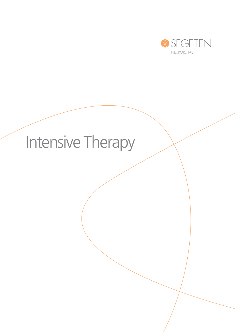

# Intensive Therapy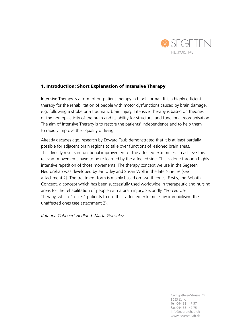

## 1. Introduction: Short Explanation of Intensive Therapy

Intensive Therapy is a form of outpatient therapy in block format. lt is a highly efficient therapy for the rehabilitation of people with motor dysfunctions caused by brain damage, e.g. following a stroke or a traumatic brain injury. Intensive Therapy is based on theories of the neuroplasticity of the brain and its ability for structural and functional reorganisation. The aim of Intensive Therapy is to restore the patients' independence and to help them to rapidly improve their quality of living.

Already decades ago, research by Edward Taub demonstrated that it is at least partially possible for adjacent brain regions to take over functions of lesioned brain areas. This directly results in functional improvement of the affected extremities. To achieve this, relevant movements have to be re-learned by the affected side. This is done through highly intensive repetition of those movements. The therapy concept we use in the Segeten Neurorehab was developed by Jan Utley and Susan Woll in the late Nineties (see attachment 2). The treatment form is mainly based on two theories: Firstly, the Bobath Concept, a concept which has been successfully used worldwide in therapeutic and nursing areas for the rehabilitation of people with a brain injury. Secondly, "Forced Use" Therapy, which "forces" patients to use their affected extremities by immobilising the unaffected ones (see attachment 2).

*Katarina Cobbaert-Hedlund, Marta González*

Carl Spitteler-Strasse 70 8053 Zürich Tel. 044 381 47 57 Fax 044 381 47 75 info@neurorehab.ch www.neurorehab.ch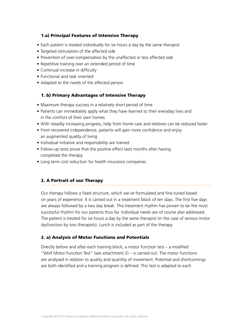## 1.a) Principal Features of Intensive Therapy

- Each patient is treated individually for six hours a day by the same therapist
- Targeted stimulation of the affected side
- Prevention of over-compensation by the unaffected or less affected side
- Repetitive training over an extended period of time
- Continual increase in difficulty
- Functional and task oriented
- Adapted to the needs of the affected person

## 1. b) Primary Advantages of Intensive Therapy

- Maximum therapy success in a relatively short period of time
- Patients can immediately apply what they have learned to their everyday lives and in the comfort of their own homes
- With steadily increasing progress, help from home care and relatives can be reduced faster
- From recovered independence, patients will gain more confidence and enjoy an augmented quality of living
- Individual initiative and responsibility are trained
- Follow-up tests prove that the positive effect lasts months after having completed the therapy
- Long term cost reduction for health insurance companies

## 2. A Portrait of our Therapy

Our therapy follows a fixed structure, which we've formulated and fine-tuned based on years of experience. It is carried out in a treatment block of ten days. The first five days are always followed by a two day break. This treatment rhythm has proven to be the most successful rhythm for our patients thus far. Individual needs are of course also addressed. The patient is treated for six hours a day by the same therapist (in the case of serious motor dysfunction by two therapists). Lunch is included as part of the therapy.

## 2. a) Analysis of Motor Functions and Potentials

Directly before and after each training block, a motor function test – a modified "Wolf Motor Function Test" (see attachment 2) – is carried out. The motor functions are analysed in relation to quality and quantity of movement. Potential and shortcomings are both identified and a training program is defined. This test is adapted to each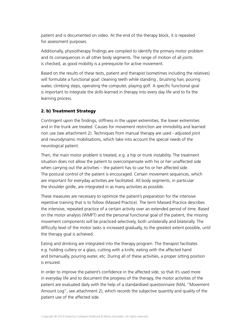patient and is documented on video. At the end of the therapy block, it is repeated for assessment purposes.

Additionally, physiotherapy findings are compiled to identify the primary motor problem and its consequences in all other body segments. The range of motion of all joints is checked, as good mobility is a prerequisite for active movement.

Based on the results of these tests, patient and therapist (sometimes including the relatives) will formulate a functional goal: cleaning teeth while standing, brushing hair, pouring water, climbing steps, operating the computer, playing golf. A specific functional goal is important to integrate the skills learned in therapy into every day life and to fix the learning process.

## 2. b) Treatment Strategy

Contingent upon the findings, stiffness in the upper extremities, the lower extremities and in the trunk are treated. Causes for movement restriction are immobility and learned non use (see attachment 2). Techniques from manual therapy are used - adjusted joint and neurodynamic mobilisations, which take into account the special needs of the neurological patient.

Then, the main motor problem is treated, e.g. a hip or trunk instability. The treatment situation does not allow the patient to overcompensate with his or her unaffected side when carrying out the activities – the patient has to use his or her affected side. The postural control of the patient is encouraged. Certain movement sequences, which are important for everyday activities are facilitated. All body segments, in particular the shoulder girdle, are integrated in as many activities as possible.

These measures are necessary to optimize the patient's preparation for the intensive repetitive training that is to follow (Massed Practice). The term Massed Practice describes the intensive, repeated practice of a certain activity over an extended period of time. Based on the motor analysis (WMFT) and the personal functional goal of the patient, the missing movement components will be practiced selectively, both unilaterally and bilaterally. The difficulty level of the motor tasks is increased gradually, to the greatest extent possible, until the therapy goal is achieved.

Eating and drinking are integrated into the therapy program. The therapist facilitates e.g. holding cutlery or a glass, cutting with a knife, eating with the affected hand and bimanually, pouring water, etc. During all of these activities, a proper sitting position is ensured.

In order to improve the patient's confidence in the affected side, so that it's used more in everyday life and to document the progress of the therapy, the motor activities of the patient are evaluated daily with the help of a standardised questionnaire (MAL "Movement Amount Log", see attachment 2), which records the subjective quantity and quality of the patient use of the affected side.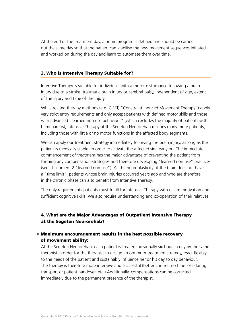At the end of the treatment day, a home program is defined and should be carried out the same day so that the patient can stabilise the new movement sequences initiated and worked on during the day and learn to automate them over time.

#### 3. Who is Intensive Therapy Suitable for?

Intensive Therapy is suitable for individuals with a motor disturbance following a brain injury due to a stroke, traumatic brain injury or cerebral palsy, independent of age, extent of the injury and time of the injury.

While related therapy methods (e.g. CIMT, "Constraint Induced Movement Therapy") apply very strict entry requirements and only accept patients with defined motor skills and those with advanced "learned non use behaviour" (which excludes the majority of patients with hemi paresis), Intensive Therapy at the Segeten Neurorehab reaches many more patients, including those with little or no motor functions in the affected body segments.

We can apply our treatment strategy immediately following the brain injury, as long as the patient is medically stable, in order to activate the affected side early on. The immediate commencement of treatment has the major advantage of preventing the patient from forming any compensation strategies and therefore developing "learned non use" practices (see attachment 2 "learned non use"). As the neuroplasticity of the brain does not have a "time limit", patients whose brain injuries occurred years ago and who are therefore in the chronic phase can also benefit from Intensive Therapy.

The only requirements patients must fulfill for Intensive Therapy with us are motivation and sufficient cognitive skills. We also require understanding and co-operation of their relatives.

# 4. What are the Major Advantages of Outpatient Intensive Therapy at the Segeten Neurorehab?

## • Maximum encouragement results in the best possible recovery of movement ability:

At the Segeten Neurorehab, each patient is treated individually six hours a day by the same therapist in order for the therapist to design an optimum treatment strategy, react flexibly to the needs of the patient and sustainably influence her or his day to day behaviour. The therapy is therefore more intensive and successful (better control, no time loss during transport or patient handover, etc.) Additionally, compensations can be corrected immediately due to the permanent presence of the therapist.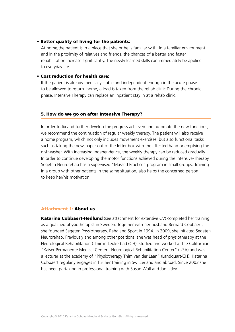#### • Better quality of living for the patients:

At home,the patient is in a place that she or he is familiar with. ln a familiar environment and in the proximity of relatives and friends, the chances of a better and faster rehabilitation increase significantly. The newly learned skills can immediately be applied to everyday life.

#### • Cost reduction for health care:

lf the patient is already medically stable and independent enough in the acute phase to be allowed to return home, a load is taken from the rehab clinic.During the chronic phase, Intensive Therapy can replace an inpatient stay in at a rehab clinic.

## 5. How do we go on after Intensive Therapy?

ln order to fix and further develop the progress achieved and automate the new functions, we recommend the continuation of regular weekly therapy. The patient will also receive a home program, which not only includes movement exercises, but also functional tasks such as taking the newspaper out of the letter box with the affected hand or emptying the dishwasher. With increasing independence, the weekly therapy can be reduced gradually. In order to continue developing the motor functions achieved during the Intensive-Therapy, Segeten Neurorehab has a supervised "Massed Practice" program in small groups. Training in a group with other patients in the same situation, also helps the concerned person to keep her/his motivation.

#### Attachment 1: About us

**Katarina Cobbaert-Hedlund** (see attachment for extensive CV) completed her training as a qualified physiotherapist in Sweden. Together with her husband Bernard Cobbaert, she founded Segeten Physiotherapy, Reha and Sport in 1994. In 2009, she initiated Segeten Neurorehab. Previously and among other positions, she was head of physiotherapy at the Neurological Rehabilitation Clinic in Leukerbad (CH), studied and worked at the Californian "Kaiser Permanente Medical Center - Neurological Rehabilitation Center" (USA) and was a lecturer at the academy of "Physiotherapy Thim van der Laan" (Landquart/CH). Katarina Cobbaert regularly engages in further training in Switzerland and abroad. Since 2003 she has been partaking in professional training with Susan Woll and Jan Utley.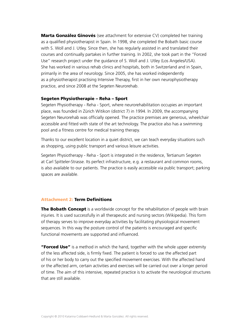**Marta González Ginovés** (see attachment for extensive CV) completed her training as a qualified physiotherapist in Spain. ln 1998, she completed the Bobath basic course with S. Woll and J. Utley. Since then, she has regularly assisted in and translated their courses and continually partakes in further training. In 2002, she took part in the "Forced Use" research project under the guidance of S. Woll and J. Utley (Los Angeles/USA). She has worked in various rehab clinics and hospitals, both in Switzerland and in Spain, primarily in the area of neurology. Since 2005, she has worked independently as a physiotherapist practising Intensive Therapy, first in her own neurophysiotherapy practice, and since 2008 at the Segeten Neurorehab.

#### Segeten Physiotherapie – Reha – Sport

Segeten Physiotherapy - Reha - Sport, where neurorehabilitation occupies an important place, was founded in Zürich Witikon (district 7) in 1994. ln 2009, the accompanying Segeten Neurorehab was officially opened. The practice premises are generous, wheelchair accessible and fitted with state of the art technology. The practice also has a swimming pool and a fitness centre for medical training therapy.

Thanks to our excellent location in a quiet district, we can teach everyday situations such as shopping, using public transport and various leisure activities.

Segeten Physiotherapy - Reha - Sport is integrated in the residence, Tertianum Segeten at Carl Spitteler-Strasse. Its perfect infrastructure, e.g. a restaurant and common rooms, is also available to our patients. The practice is easily accessible via public transport; parking spaces are available.

#### Attachment 2: Term Definitions

The Bobath Concept is a worldwide concept for the rehabilitation of people with brain injuries. It is used successfully in all therapeutic and nursing sectors (Wikipedia). This form of therapy serves to improve everyday activities by facilitating physiological movement sequences. ln this way the posture control of the patients is encouraged and specific functional movements are supported and influenced.

**"Forced Use"** is a method in which the hand, together with the whole upper extremity of the less affected side, is firmly fixed. The patient is forced to use the affected part of his or her body to carry out the specified movement exercises. With the affected hand or the affected arm, certain activities and exercises will be carried out over a longer period of time. The aim of this intensive, repeated practice is to activate the neurological structures that are still available.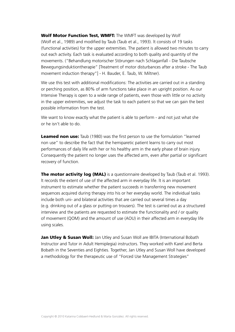Wolf Motor Function Test, WMFT: The WMFT was developed by Wolf (Wolf et al., 1989) and modified by Taub (Taub et al., 1993). lt consists of 19 tasks (functional activities) for the upper extremities. The patient is allowed two minutes to carry out each activity. Each task is evaluated according to both quality and quantity of the movements. ("Behandlung motorischer Störungen nach Schlaganfall - Die Taubsche Bewegungsinduktiontherapie" [Treatment of motor disturbances after a stroke - The Taub movement induction therapy"] - H. Bauder, E. Taub, W. Miltner).

We use this test with additional modifications: The activities are carried out in a standing or perching position, as 80% of arm functions take place in an upright position. As our Intensive Therapy is open to a wide range of patients, even those with little or no activity in the upper extremities, we adjust the task to each patient so that we can gain the best possible information from the test.

We want to know exactly what the patient is able to perform - and not just what she or he isn't able to do.

**Leamed non use:** Taub (1980) was the first person to use the formulation "learned non use" to describe the fact that the hemiparetic patient learns to carry out most performances of daily life with her or his healthy arm in the early phase of brain injury. Consequently the patient no longer uses the affected arm, even after partial or significant recovery of function.

The motor activity log (MAL) is a questionnaire developed by Taub (Taub et al. 1993). lt records the extent of use of the affected arm in everyday life. lt is an important instrument to estimate whether the patient succeeds in transferring new movement sequences acquired during therapy into his or her everyday world. The individual tasks include both uni- and bilateral activities that are carried out several times a day (e.g. drinking out of a glass or putting on trousers). The test is carried out as a structured interview and the patients are requested to estimate the functionality and / or quality of movement (QOM) and the amount of use (AOU) in their affected arm in everyday life using scales.

Jan Utley & Susan Woll: Jan Utley and Susan Woll are IBITA (International Bobath Instructor and Tutor in Adult Hemiplegia) instructors. They worked with Karel and Berta Bobath in the Seventies and Eighties. Together, Jan Utley and Susan Woll have developed a methodology for the therapeutic use of "Forced Use Management Strategies"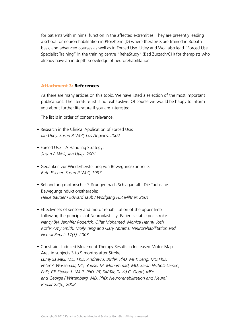for patients with minimal function in the affected extremities. They are presently leading a school for neurorehabilitation in Pforzheim (D) where therapists are trained in Bobath basic and advanced courses as well as in Forced Use. Utley and Woll also lead "Forced Use Specialist Training" in the training centre "RehaStudy" (Bad Zurzach/CH) for therapists who already have an in depth knowledge of neurorehabilitation.

#### Attachment 3: References

As there are many articles on this topic. We have listed a selection of the most important publications. The literature list is not exhaustive. Of course we would be happy to inform you about further literature if you are interested.

The list is in order of content relevance.

- Research in the Clinical Application of Forced Use: *Jan Utley, Susan P. Woll, Los Angeles, 2002*
- Forced Use A Handling Strategy: *Susan P. Woll, Jan Utley, 2001*
- Gedanken zur Wiederherstellung von Bewegungskontrolle: *Beth Fischer, Susan P. Woll, 1997*
- Behandlung motorischer Störungen nach Schlaganfall Die Taubsche Bewegungsinduktionstherapie: *Heike Bauder / Edward Taub / Wolfgang H.R Miltner, 2001*
- Effectivness of sensory and motor rehabilitation of the upper limb following the principles of Neuroplasticity: Patients stable poststroke: *Nancy Byl, Jennifer Roderick, Olfat Mohamed, Monica Hanny, Josh Kotler,Amy Smith, Molly Tang and Gary Abrams: Neurorehabilitation and Neural Repair 17(3); 2003*
- Constraint-Induced Movement Therapy Results in Increased Motor Map Area in subjects 3 to 9 months after Stroke: *Lumy Sawaki, MD, PhD; Andrew J. Butler, PhD, MPT; Leng, MD,PhD; Peter A.Wassenaar, MS; Yousef M. Mohammad, MD; Sarah Nichols-Larsen, PhD, PT; Steven L. Wolf, PhD, PT, FAPTA; David C. Good, MD; and George F.Wittenberg, MD, PhD: Neurorehabilitation and Neural Repair 22(5); 2008*